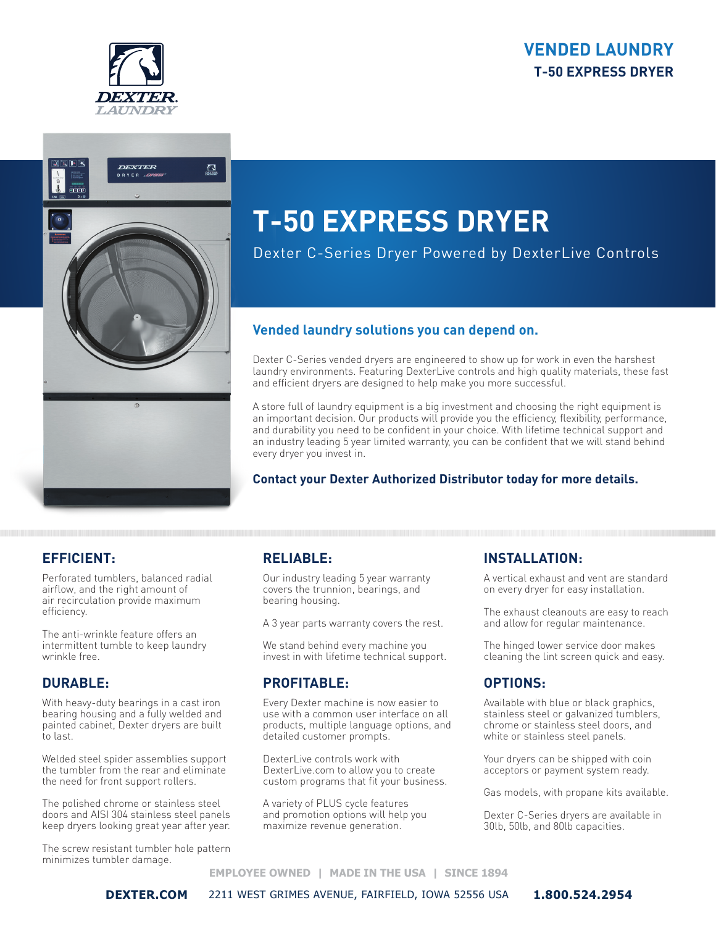## **VENDED LAUNDRY T-50 EXPRESS DRYER**





# **T-50 EXPRESS DRYER**

Dexter C-Series Dryer Powered by DexterLive Controls

## **Vended laundry solutions you can depend on.**

Dexter C-Series vended dryers are engineered to show up for work in even the harshest laundry environments. Featuring DexterLive controls and high quality materials, these fast and efficient dryers are designed to help make you more successful.

A store full of laundry equipment is a big investment and choosing the right equipment is an important decision. Our products will provide you the efficiency, flexibility, performance, and durability you need to be confident in your choice. With lifetime technical support and an industry leading 5 year limited warranty, you can be confident that we will stand behind every dryer you invest in.

#### **Contact your Dexter Authorized Distributor today for more details.**

## **EFFICIENT:**

Perforated tumblers, balanced radial airflow, and the right amount of air recirculation provide maximum efficiency.

The anti-wrinkle feature offers an intermittent tumble to keep laundry wrinkle free.

#### **DURABLE:**

With heavy-duty bearings in a cast iron bearing housing and a fully welded and painted cabinet, Dexter dryers are built to last.

Welded steel spider assemblies support the tumbler from the rear and eliminate the need for front support rollers.

The polished chrome or stainless steel doors and AISI 304 stainless steel panels keep dryers looking great year after year.

The screw resistant tumbler hole pattern minimizes tumbler damage.

## **RELIABLE:**

Our industry leading 5 year warranty covers the trunnion, bearings, and bearing housing.

A 3 year parts warranty covers the rest.

We stand behind every machine you invest in with lifetime technical support.

## **PROFITABLE:**

Every Dexter machine is now easier to use with a common user interface on all products, multiple language options, and detailed customer prompts.

DexterLive controls work with DexterLive.com to allow you to create custom programs that fit your business.

A variety of PLUS cycle features and promotion options will help you maximize revenue generation.

#### **INSTALLATION:**

A vertical exhaust and vent are standard on every dryer for easy installation.

The exhaust cleanouts are easy to reach and allow for regular maintenance.

The hinged lower service door makes cleaning the lint screen quick and easy.

## **OPTIONS:**

Available with blue or black graphics, stainless steel or galvanized tumblers, chrome or stainless steel doors, and white or stainless steel panels.

Your dryers can be shipped with coin acceptors or payment system ready.

Gas models, with propane kits available.

Dexter C-Series dryers are available in 30lb, 50lb, and 80lb capacities.

#### **EMPLOYEE OWNED | MADE IN THE USA | SINCE 1894**

**DEXTER.COM** 2211 WEST GRIMES AVENUE, FAIRFIELD, IOWA 52556 USA **1.800.524.2954**